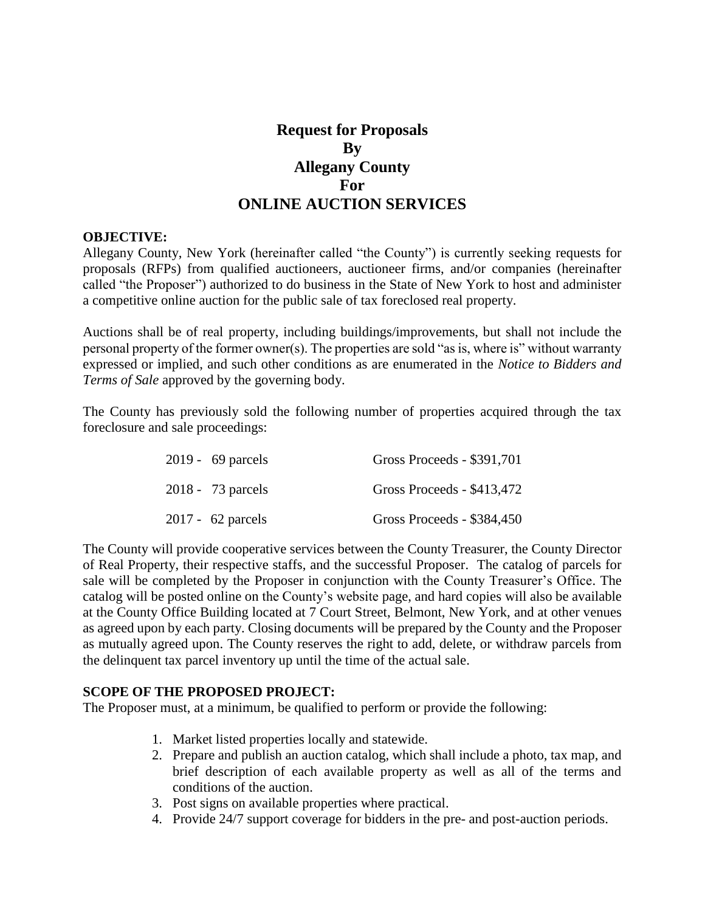# **Request for Proposals By Allegany County For ONLINE AUCTION SERVICES**

#### **OBJECTIVE:**

Allegany County, New York (hereinafter called "the County") is currently seeking requests for proposals (RFPs) from qualified auctioneers, auctioneer firms, and/or companies (hereinafter called "the Proposer") authorized to do business in the State of New York to host and administer a competitive online auction for the public sale of tax foreclosed real property.

Auctions shall be of real property, including buildings/improvements, but shall not include the personal property of the former owner(s). The properties are sold "as is, where is" without warranty expressed or implied, and such other conditions as are enumerated in the *Notice to Bidders and Terms of Sale* approved by the governing body.

The County has previously sold the following number of properties acquired through the tax foreclosure and sale proceedings:

| $2019 - 69$ parcels | Gross Proceeds - \$391,701 |
|---------------------|----------------------------|
| 2018 - 73 parcels   | Gross Proceeds - \$413,472 |
| $2017 - 62$ parcels | Gross Proceeds - \$384,450 |

The County will provide cooperative services between the County Treasurer, the County Director of Real Property, their respective staffs, and the successful Proposer. The catalog of parcels for sale will be completed by the Proposer in conjunction with the County Treasurer's Office. The catalog will be posted online on the County's website page, and hard copies will also be available at the County Office Building located at 7 Court Street, Belmont, New York, and at other venues as agreed upon by each party. Closing documents will be prepared by the County and the Proposer as mutually agreed upon. The County reserves the right to add, delete, or withdraw parcels from the delinquent tax parcel inventory up until the time of the actual sale.

### **SCOPE OF THE PROPOSED PROJECT:**

The Proposer must, at a minimum, be qualified to perform or provide the following:

- 1. Market listed properties locally and statewide.
- 2. Prepare and publish an auction catalog, which shall include a photo, tax map, and brief description of each available property as well as all of the terms and conditions of the auction.
- 3. Post signs on available properties where practical.
- 4. Provide 24/7 support coverage for bidders in the pre- and post-auction periods.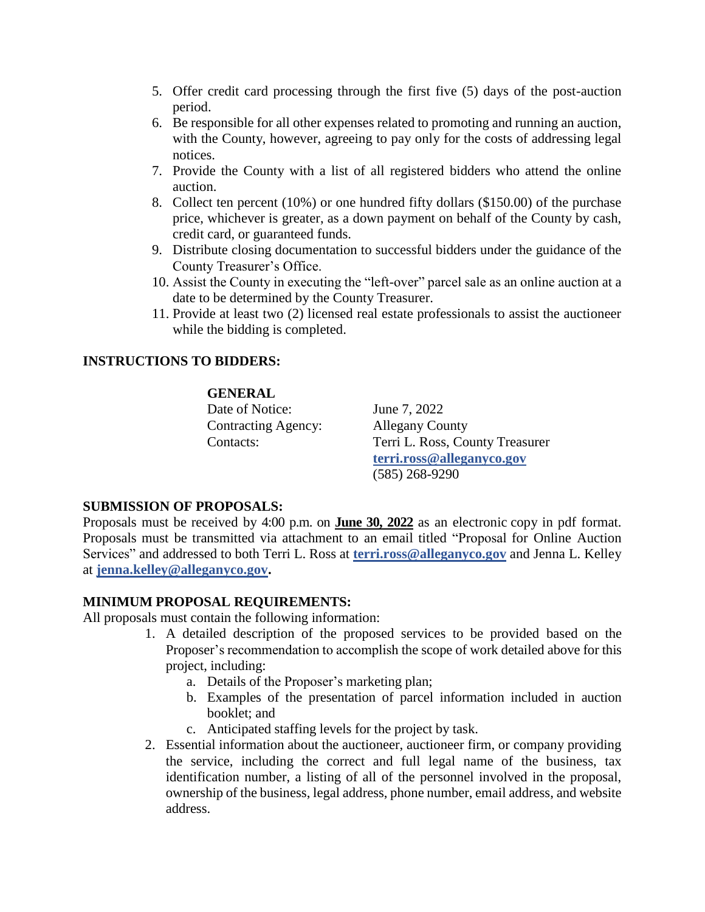- 5. Offer credit card processing through the first five (5) days of the post-auction period.
- 6. Be responsible for all other expenses related to promoting and running an auction, with the County, however, agreeing to pay only for the costs of addressing legal notices.
- 7. Provide the County with a list of all registered bidders who attend the online auction.
- 8. Collect ten percent (10%) or one hundred fifty dollars (\$150.00) of the purchase price, whichever is greater, as a down payment on behalf of the County by cash, credit card, or guaranteed funds.
- 9. Distribute closing documentation to successful bidders under the guidance of the County Treasurer's Office.
- 10. Assist the County in executing the "left-over" parcel sale as an online auction at a date to be determined by the County Treasurer.
- 11. Provide at least two (2) licensed real estate professionals to assist the auctioneer while the bidding is completed.

# **INSTRUCTIONS TO BIDDERS:**

### **GENERAL**

Date of Notice: June 7, 2022 Contracting Agency: Allegany County

Contacts: Terri L. Ross, County Treasurer **[terri.ross@alleganyco.g](mailto:terri.ross@alleganyco.)ov** (585) 268-9290

# **SUBMISSION OF PROPOSALS:**

Proposals must be received by 4:00 p.m. on **June 30, 2022** as an electronic copy in pdf format. Proposals must be transmitted via attachment to an email titled "Proposal for Online Auction Services" and addressed to both Terri L. Ross at **[terri.ross@alleganyco.g](mailto:terri.ross@alleganyco.)ov** and Jenna L. Kelley at **[jenna.kelley@alleganyco.gov.](mailto:jenna.kelley@alleganyco.gov)** 

# **MINIMUM PROPOSAL REQUIREMENTS:**

All proposals must contain the following information:

- 1. A detailed description of the proposed services to be provided based on the Proposer's recommendation to accomplish the scope of work detailed above for this project, including:
	- a. Details of the Proposer's marketing plan;
	- b. Examples of the presentation of parcel information included in auction booklet; and
	- c. Anticipated staffing levels for the project by task.
- 2. Essential information about the auctioneer, auctioneer firm, or company providing the service, including the correct and full legal name of the business, tax identification number, a listing of all of the personnel involved in the proposal, ownership of the business, legal address, phone number, email address, and website address.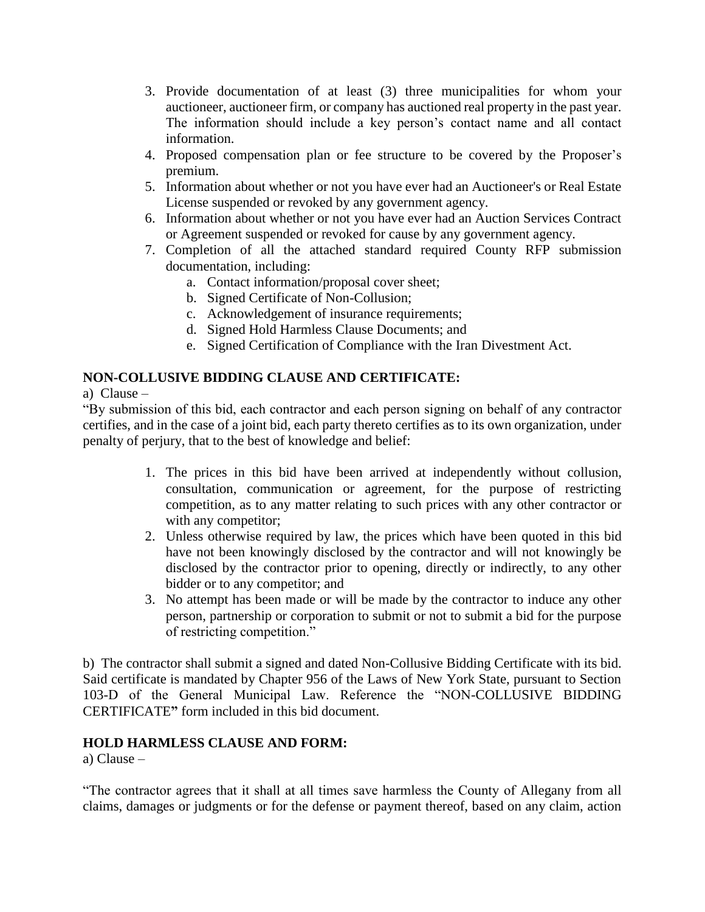- 3. Provide documentation of at least (3) three municipalities for whom your auctioneer, auctioneer firm, or company has auctioned real property in the past year. The information should include a key person's contact name and all contact information.
- 4. Proposed compensation plan or fee structure to be covered by the Proposer's premium.
- 5. Information about whether or not you have ever had an Auctioneer's or Real Estate License suspended or revoked by any government agency.
- 6. Information about whether or not you have ever had an Auction Services Contract or Agreement suspended or revoked for cause by any government agency.
- 7. Completion of all the attached standard required County RFP submission documentation, including:
	- a. Contact information/proposal cover sheet;
	- b. Signed Certificate of Non-Collusion;
	- c. Acknowledgement of insurance requirements;
	- d. Signed Hold Harmless Clause Documents; and
	- e. Signed Certification of Compliance with the Iran Divestment Act.

# **NON-COLLUSIVE BIDDING CLAUSE AND CERTIFICATE:**

a) Clause –

"By submission of this bid, each contractor and each person signing on behalf of any contractor certifies, and in the case of a joint bid, each party thereto certifies as to its own organization, under penalty of perjury, that to the best of knowledge and belief:

- 1. The prices in this bid have been arrived at independently without collusion, consultation, communication or agreement, for the purpose of restricting competition, as to any matter relating to such prices with any other contractor or with any competitor;
- 2. Unless otherwise required by law, the prices which have been quoted in this bid have not been knowingly disclosed by the contractor and will not knowingly be disclosed by the contractor prior to opening, directly or indirectly, to any other bidder or to any competitor; and
- 3. No attempt has been made or will be made by the contractor to induce any other person, partnership or corporation to submit or not to submit a bid for the purpose of restricting competition."

b) The contractor shall submit a signed and dated Non-Collusive Bidding Certificate with its bid. Said certificate is mandated by Chapter 956 of the Laws of New York State, pursuant to Section 103-D of the General Municipal Law. Reference the "NON-COLLUSIVE BIDDING CERTIFICATE**"** form included in this bid document.

# **HOLD HARMLESS CLAUSE AND FORM:**

a) Clause –

"The contractor agrees that it shall at all times save harmless the County of Allegany from all claims, damages or judgments or for the defense or payment thereof, based on any claim, action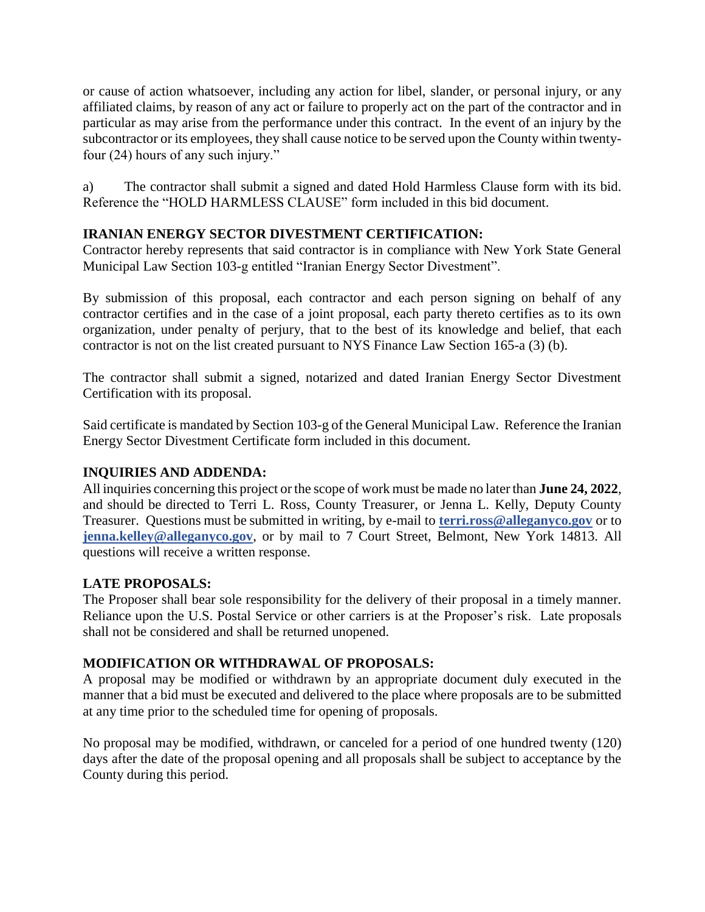or cause of action whatsoever, including any action for libel, slander, or personal injury, or any affiliated claims, by reason of any act or failure to properly act on the part of the contractor and in particular as may arise from the performance under this contract. In the event of an injury by the subcontractor or its employees, they shall cause notice to be served upon the County within twentyfour (24) hours of any such injury."

a) The contractor shall submit a signed and dated Hold Harmless Clause form with its bid. Reference the "HOLD HARMLESS CLAUSE" form included in this bid document.

# **IRANIAN ENERGY SECTOR DIVESTMENT CERTIFICATION:**

Contractor hereby represents that said contractor is in compliance with New York State General Municipal Law Section 103-g entitled "Iranian Energy Sector Divestment".

By submission of this proposal, each contractor and each person signing on behalf of any contractor certifies and in the case of a joint proposal, each party thereto certifies as to its own organization, under penalty of perjury, that to the best of its knowledge and belief, that each contractor is not on the list created pursuant to NYS Finance Law Section 165-a (3) (b).

The contractor shall submit a signed, notarized and dated Iranian Energy Sector Divestment Certification with its proposal.

Said certificate is mandated by Section 103-g of the General Municipal Law. Reference the Iranian Energy Sector Divestment Certificate form included in this document.

# **INQUIRIES AND ADDENDA:**

All inquiries concerning this project or the scope of work must be made no laterthan **June 24, 2022**, and should be directed to Terri L. Ross, County Treasurer, or Jenna L. Kelly, Deputy County Treasurer. Questions must be submitted in writing, by e-mail to **[terri.ross@alleganyco.gov](mailto:terri.ross@alleganyco.gov)** or to **[jenna.kelley@alleganyco.gov](mailto:jenna.kelley@alleganyco.gov)**, or by mail to 7 Court Street, Belmont, New York 14813. All questions will receive a written response.

# **LATE PROPOSALS:**

The Proposer shall bear sole responsibility for the delivery of their proposal in a timely manner. Reliance upon the U.S. Postal Service or other carriers is at the Proposer's risk. Late proposals shall not be considered and shall be returned unopened.

# **MODIFICATION OR WITHDRAWAL OF PROPOSALS:**

A proposal may be modified or withdrawn by an appropriate document duly executed in the manner that a bid must be executed and delivered to the place where proposals are to be submitted at any time prior to the scheduled time for opening of proposals.

No proposal may be modified, withdrawn, or canceled for a period of one hundred twenty (120) days after the date of the proposal opening and all proposals shall be subject to acceptance by the County during this period.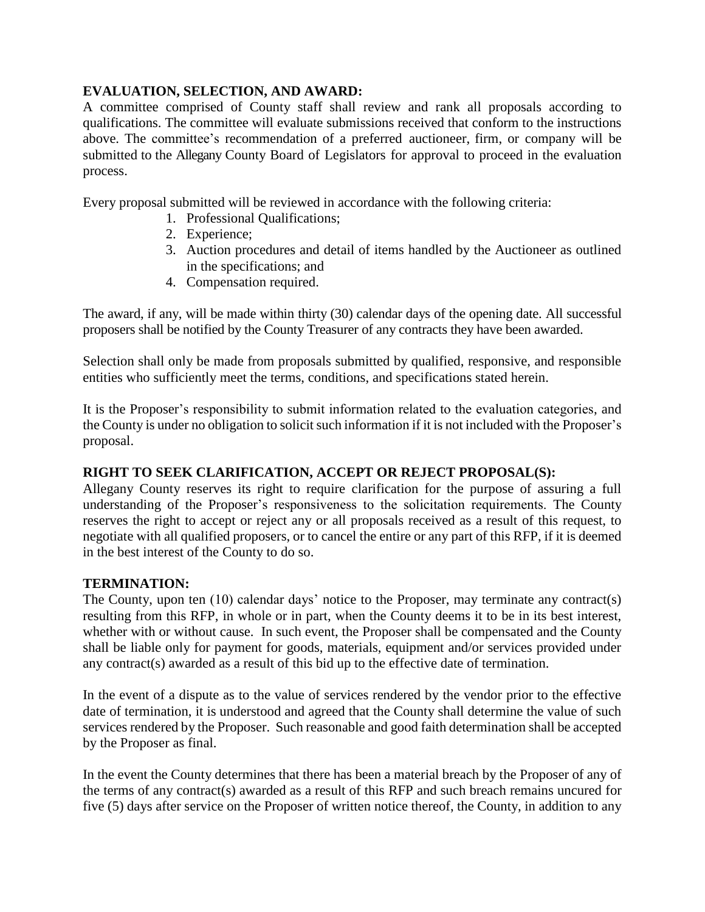# **EVALUATION, SELECTION, AND AWARD:**

A committee comprised of County staff shall review and rank all proposals according to qualifications. The committee will evaluate submissions received that conform to the instructions above. The committee's recommendation of a preferred auctioneer, firm, or company will be submitted to the Allegany County Board of Legislators for approval to proceed in the evaluation process.

Every proposal submitted will be reviewed in accordance with the following criteria:

- 1. Professional Qualifications;
- 2. Experience;
- 3. Auction procedures and detail of items handled by the Auctioneer as outlined in the specifications; and
- 4. Compensation required.

The award, if any, will be made within thirty (30) calendar days of the opening date. All successful proposers shall be notified by the County Treasurer of any contracts they have been awarded.

Selection shall only be made from proposals submitted by qualified, responsive, and responsible entities who sufficiently meet the terms, conditions, and specifications stated herein.

It is the Proposer's responsibility to submit information related to the evaluation categories, and the County is under no obligation to solicit such information if it is not included with the Proposer's proposal.

# **RIGHT TO SEEK CLARIFICATION, ACCEPT OR REJECT PROPOSAL(S):**

Allegany County reserves its right to require clarification for the purpose of assuring a full understanding of the Proposer's responsiveness to the solicitation requirements. The County reserves the right to accept or reject any or all proposals received as a result of this request, to negotiate with all qualified proposers, or to cancel the entire or any part of this RFP, if it is deemed in the best interest of the County to do so.

# **TERMINATION:**

The County, upon ten (10) calendar days' notice to the Proposer, may terminate any contract(s) resulting from this RFP, in whole or in part, when the County deems it to be in its best interest, whether with or without cause. In such event, the Proposer shall be compensated and the County shall be liable only for payment for goods, materials, equipment and/or services provided under any contract(s) awarded as a result of this bid up to the effective date of termination.

In the event of a dispute as to the value of services rendered by the vendor prior to the effective date of termination, it is understood and agreed that the County shall determine the value of such services rendered by the Proposer. Such reasonable and good faith determination shall be accepted by the Proposer as final.

In the event the County determines that there has been a material breach by the Proposer of any of the terms of any contract(s) awarded as a result of this RFP and such breach remains uncured for five (5) days after service on the Proposer of written notice thereof, the County, in addition to any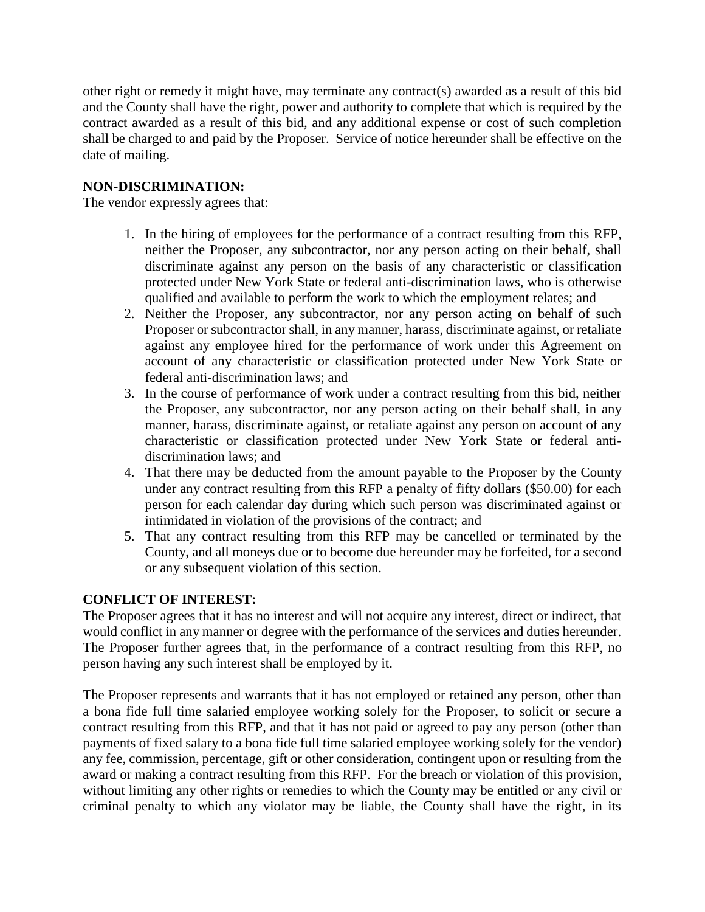other right or remedy it might have, may terminate any contract(s) awarded as a result of this bid and the County shall have the right, power and authority to complete that which is required by the contract awarded as a result of this bid, and any additional expense or cost of such completion shall be charged to and paid by the Proposer. Service of notice hereunder shall be effective on the date of mailing.

# **NON-DISCRIMINATION:**

The vendor expressly agrees that:

- 1. In the hiring of employees for the performance of a contract resulting from this RFP, neither the Proposer, any subcontractor, nor any person acting on their behalf, shall discriminate against any person on the basis of any characteristic or classification protected under New York State or federal anti-discrimination laws, who is otherwise qualified and available to perform the work to which the employment relates; and
- 2. Neither the Proposer, any subcontractor, nor any person acting on behalf of such Proposer or subcontractor shall, in any manner, harass, discriminate against, or retaliate against any employee hired for the performance of work under this Agreement on account of any characteristic or classification protected under New York State or federal anti-discrimination laws; and
- 3. In the course of performance of work under a contract resulting from this bid, neither the Proposer, any subcontractor, nor any person acting on their behalf shall, in any manner, harass, discriminate against, or retaliate against any person on account of any characteristic or classification protected under New York State or federal antidiscrimination laws; and
- 4. That there may be deducted from the amount payable to the Proposer by the County under any contract resulting from this RFP a penalty of fifty dollars (\$50.00) for each person for each calendar day during which such person was discriminated against or intimidated in violation of the provisions of the contract; and
- 5. That any contract resulting from this RFP may be cancelled or terminated by the County, and all moneys due or to become due hereunder may be forfeited, for a second or any subsequent violation of this section.

# **CONFLICT OF INTEREST:**

The Proposer agrees that it has no interest and will not acquire any interest, direct or indirect, that would conflict in any manner or degree with the performance of the services and duties hereunder. The Proposer further agrees that, in the performance of a contract resulting from this RFP, no person having any such interest shall be employed by it.

The Proposer represents and warrants that it has not employed or retained any person, other than a bona fide full time salaried employee working solely for the Proposer, to solicit or secure a contract resulting from this RFP, and that it has not paid or agreed to pay any person (other than payments of fixed salary to a bona fide full time salaried employee working solely for the vendor) any fee, commission, percentage, gift or other consideration, contingent upon or resulting from the award or making a contract resulting from this RFP. For the breach or violation of this provision, without limiting any other rights or remedies to which the County may be entitled or any civil or criminal penalty to which any violator may be liable, the County shall have the right, in its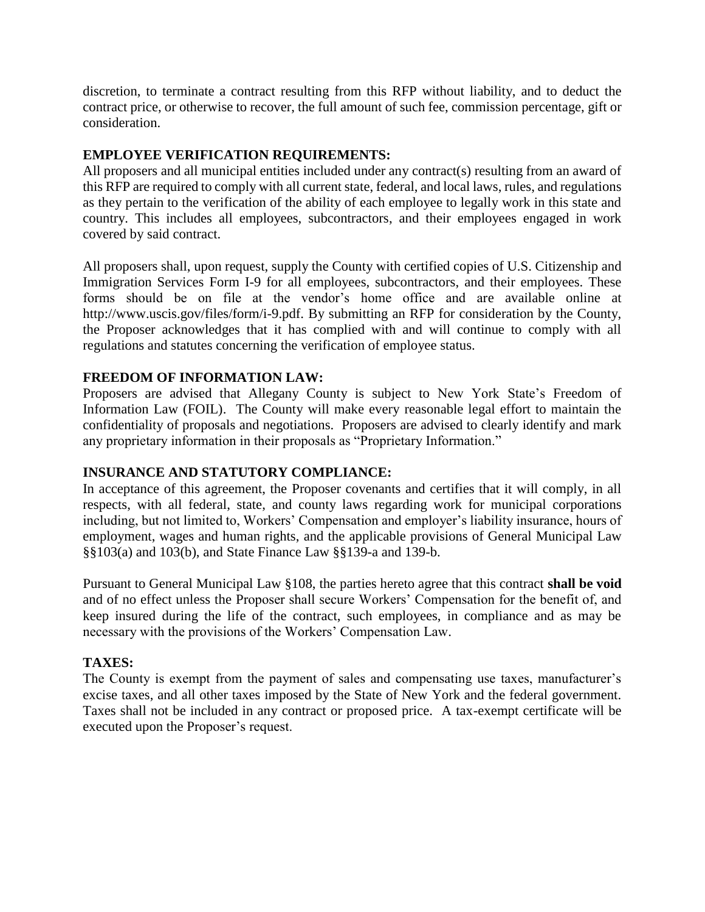discretion, to terminate a contract resulting from this RFP without liability, and to deduct the contract price, or otherwise to recover, the full amount of such fee, commission percentage, gift or consideration.

# **EMPLOYEE VERIFICATION REQUIREMENTS:**

All proposers and all municipal entities included under any contract(s) resulting from an award of this RFP are required to comply with all current state, federal, and local laws, rules, and regulations as they pertain to the verification of the ability of each employee to legally work in this state and country. This includes all employees, subcontractors, and their employees engaged in work covered by said contract.

All proposers shall, upon request, supply the County with certified copies of U.S. Citizenship and Immigration Services Form I-9 for all employees, subcontractors, and their employees. These forms should be on file at the vendor's home office and are available online at http://www.uscis.gov/files/form/i-9.pdf. By submitting an RFP for consideration by the County, the Proposer acknowledges that it has complied with and will continue to comply with all regulations and statutes concerning the verification of employee status.

# **FREEDOM OF INFORMATION LAW:**

Proposers are advised that Allegany County is subject to New York State's Freedom of Information Law (FOIL). The County will make every reasonable legal effort to maintain the confidentiality of proposals and negotiations. Proposers are advised to clearly identify and mark any proprietary information in their proposals as "Proprietary Information."

# **INSURANCE AND STATUTORY COMPLIANCE:**

In acceptance of this agreement, the Proposer covenants and certifies that it will comply, in all respects, with all federal, state, and county laws regarding work for municipal corporations including, but not limited to, Workers' Compensation and employer's liability insurance, hours of employment, wages and human rights, and the applicable provisions of General Municipal Law §§103(a) and 103(b), and State Finance Law §§139-a and 139-b.

Pursuant to General Municipal Law §108, the parties hereto agree that this contract **shall be void**  and of no effect unless the Proposer shall secure Workers' Compensation for the benefit of, and keep insured during the life of the contract, such employees, in compliance and as may be necessary with the provisions of the Workers' Compensation Law.

# **TAXES:**

The County is exempt from the payment of sales and compensating use taxes, manufacturer's excise taxes, and all other taxes imposed by the State of New York and the federal government. Taxes shall not be included in any contract or proposed price. A tax-exempt certificate will be executed upon the Proposer's request.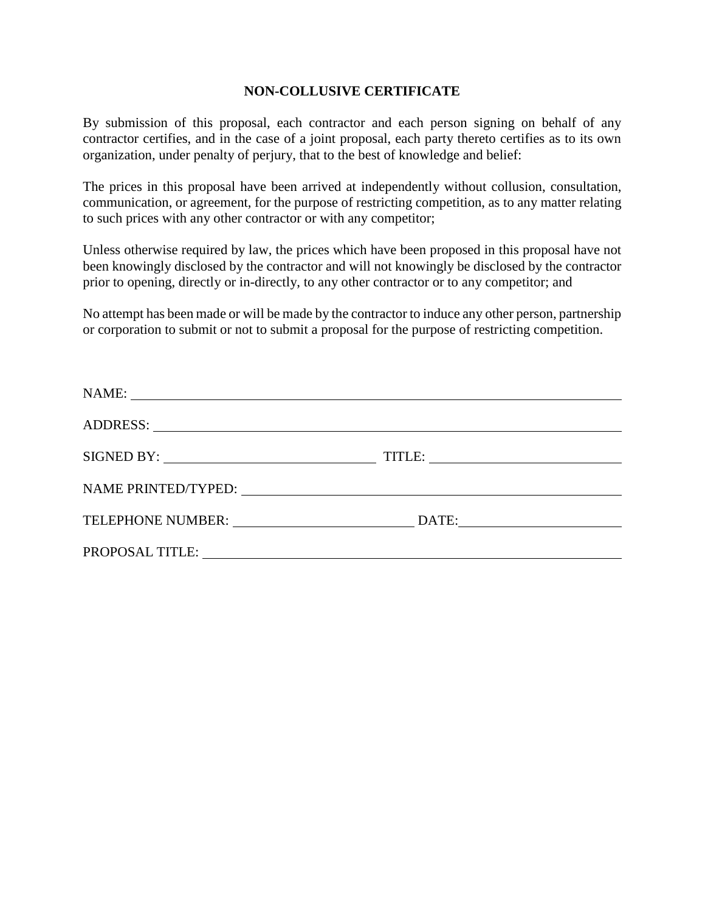### **NON-COLLUSIVE CERTIFICATE**

By submission of this proposal, each contractor and each person signing on behalf of any contractor certifies, and in the case of a joint proposal, each party thereto certifies as to its own organization, under penalty of perjury, that to the best of knowledge and belief:

The prices in this proposal have been arrived at independently without collusion, consultation, communication, or agreement, for the purpose of restricting competition, as to any matter relating to such prices with any other contractor or with any competitor;

Unless otherwise required by law, the prices which have been proposed in this proposal have not been knowingly disclosed by the contractor and will not knowingly be disclosed by the contractor prior to opening, directly or in-directly, to any other contractor or to any competitor; and

No attempt has been made or will be made by the contractor to induce any other person, partnership or corporation to submit or not to submit a proposal for the purpose of restricting competition.

| ADDRESS: New York Contract to the Second Second Second Second Second Second Second Second Second Second Second Second Second Second Second Second Second Second Second Second Second Second Second Second Second Second Second |  |
|--------------------------------------------------------------------------------------------------------------------------------------------------------------------------------------------------------------------------------|--|
|                                                                                                                                                                                                                                |  |
|                                                                                                                                                                                                                                |  |
| TELEPHONE NUMBER: University of the set of the set of the set of the set of the set of the set of the set of the set of the set of the set of the set of the set of the set of the set of the set of the set of the set of the |  |
| PROPOSAL TITLE: University of the contract of the contract of the contract of the contract of the contract of the contract of the contract of the contract of the contract of the contract of the contract of the contract of  |  |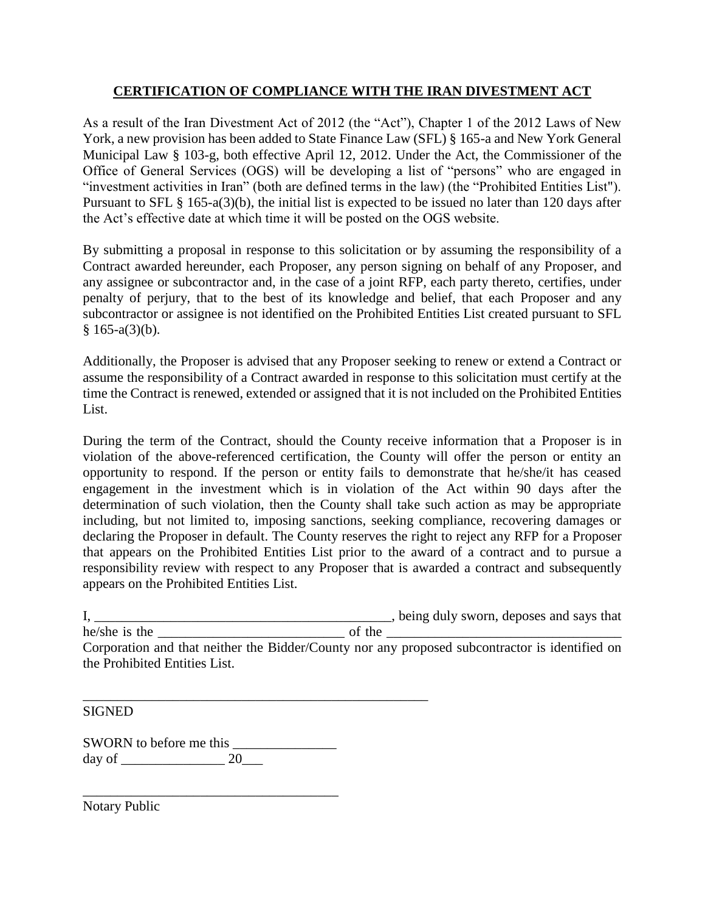# **CERTIFICATION OF COMPLIANCE WITH THE IRAN DIVESTMENT ACT**

As a result of the Iran Divestment Act of 2012 (the "Act"), Chapter 1 of the 2012 Laws of New York, a new provision has been added to State Finance Law (SFL) § 165-a and New York General Municipal Law § 103-g, both effective April 12, 2012. Under the Act, the Commissioner of the Office of General Services (OGS) will be developing a list of "persons" who are engaged in "investment activities in Iran" (both are defined terms in the law) (the "Prohibited Entities List"). Pursuant to SFL § 165-a(3)(b), the initial list is expected to be issued no later than 120 days after the Act's effective date at which time it will be posted on the OGS website.

By submitting a proposal in response to this solicitation or by assuming the responsibility of a Contract awarded hereunder, each Proposer, any person signing on behalf of any Proposer, and any assignee or subcontractor and, in the case of a joint RFP, each party thereto, certifies, under penalty of perjury, that to the best of its knowledge and belief, that each Proposer and any subcontractor or assignee is not identified on the Prohibited Entities List created pursuant to SFL  $§ 165-a(3)(b).$ 

Additionally, the Proposer is advised that any Proposer seeking to renew or extend a Contract or assume the responsibility of a Contract awarded in response to this solicitation must certify at the time the Contract is renewed, extended or assigned that it is not included on the Prohibited Entities List.

During the term of the Contract, should the County receive information that a Proposer is in violation of the above-referenced certification, the County will offer the person or entity an opportunity to respond. If the person or entity fails to demonstrate that he/she/it has ceased engagement in the investment which is in violation of the Act within 90 days after the determination of such violation, then the County shall take such action as may be appropriate including, but not limited to, imposing sanctions, seeking compliance, recovering damages or declaring the Proposer in default. The County reserves the right to reject any RFP for a Proposer that appears on the Prohibited Entities List prior to the award of a contract and to pursue a responsibility review with respect to any Proposer that is awarded a contract and subsequently appears on the Prohibited Entities List.

I, \_\_\_\_\_\_\_\_\_\_\_\_\_\_\_\_\_\_\_\_\_\_\_\_\_\_\_\_\_\_\_\_\_\_\_\_\_\_\_\_\_\_\_, being duly sworn, deposes and says that

he/she is the  $\frac{1}{\sqrt{2}}$  is the  $\frac{1}{\sqrt{2}}$  of the  $\frac{1}{\sqrt{2}}$  of the  $\frac{1}{\sqrt{2}}$ he/she is the <u>corporation</u> and that neither the Bidder/County nor any proposed subcontractor is identified on the Prohibited Entities List.

**SIGNED** 

SWORN to before me this day of \_\_\_\_\_\_\_\_\_\_\_\_\_\_\_ 20\_\_\_

\_\_\_\_\_\_\_\_\_\_\_\_\_\_\_\_\_\_\_\_\_\_\_\_\_\_\_\_\_\_\_\_\_\_\_\_\_

\_\_\_\_\_\_\_\_\_\_\_\_\_\_\_\_\_\_\_\_\_\_\_\_\_\_\_\_\_\_\_\_\_\_\_\_\_\_\_\_\_\_\_\_\_\_\_\_\_\_

Notary Public